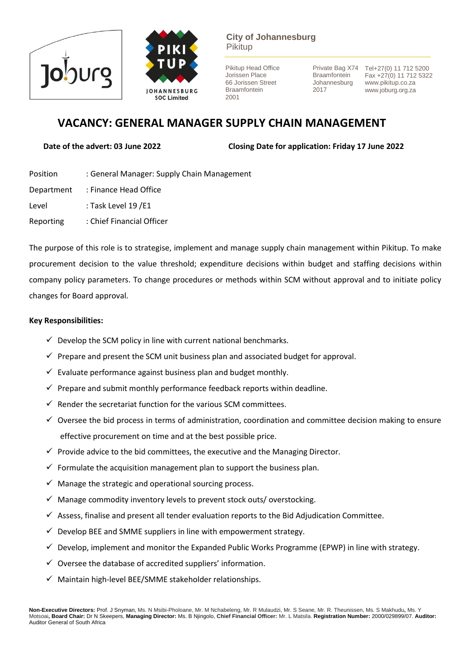



**City of Johannesburg** Pikitup

Pikitup Head Office Jorissen Place 66 Jorissen Street Braamfontein 2001

**Braamfontein** Johannesburg 2017

Private Bag X74 Tel+27(0) 11 712 5200 Fax +27(0) 11 712 5322 www.pikitup.co.za www.joburg.org.za

# **VACANCY: GENERAL MANAGER SUPPLY CHAIN MANAGEMENT**

**Date of the advert: 03 June 2022 Closing Date for application: Friday 17 June 2022** 

- Position : General Manager: Supply Chain Management Department : Finance Head Office Level : Task Level 19 / E1
- Reporting : Chief Financial Officer

The purpose of this role is to strategise, implement and manage supply chain management within Pikitup. To make procurement decision to the value threshold; expenditure decisions within budget and staffing decisions within company policy parameters. To change procedures or methods within SCM without approval and to initiate policy changes for Board approval.

# **Key Responsibilities:**

- $\checkmark$  Develop the SCM policy in line with current national benchmarks.
- $\checkmark$  Prepare and present the SCM unit business plan and associated budget for approval.
- $\checkmark$  Evaluate performance against business plan and budget monthly.
- $\checkmark$  Prepare and submit monthly performance feedback reports within deadline.
- $\checkmark$  Render the secretariat function for the various SCM committees.
- $\checkmark$  Oversee the bid process in terms of administration, coordination and committee decision making to ensure effective procurement on time and at the best possible price.
- $\checkmark$  Provide advice to the bid committees, the executive and the Managing Director.
- $\checkmark$  Formulate the acquisition management plan to support the business plan.
- $\checkmark$  Manage the strategic and operational sourcing process.
- $\checkmark$  Manage commodity inventory levels to prevent stock outs/ overstocking.
- $\checkmark$  Assess, finalise and present all tender evaluation reports to the Bid Adjudication Committee.
- $\checkmark$  Develop BEE and SMME suppliers in line with empowerment strategy.
- $\checkmark$  Develop, implement and monitor the Expanded Public Works Programme (EPWP) in line with strategy.
- $\checkmark$  Oversee the database of accredited suppliers' information.
- $\checkmark$  Maintain high-level BEE/SMME stakeholder relationships.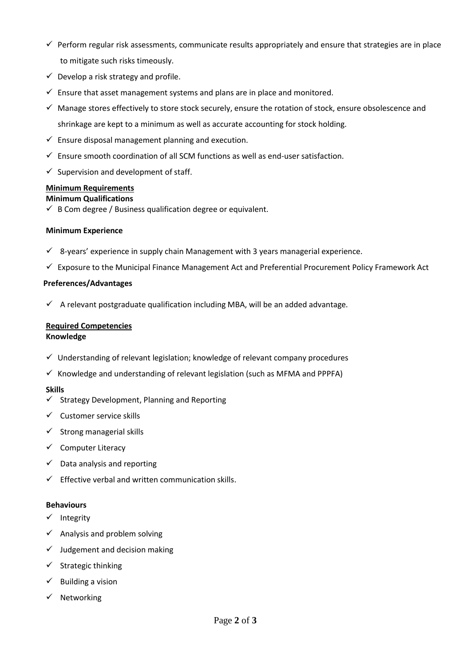- $\checkmark$  Perform regular risk assessments, communicate results appropriately and ensure that strategies are in place to mitigate such risks timeously.
- $\checkmark$  Develop a risk strategy and profile.
- $\checkmark$  Ensure that asset management systems and plans are in place and monitored.
- $\checkmark$  Manage stores effectively to store stock securely, ensure the rotation of stock, ensure obsolescence and shrinkage are kept to a minimum as well as accurate accounting for stock holding.
- $\checkmark$  Ensure disposal management planning and execution.
- $\checkmark$  Ensure smooth coordination of all SCM functions as well as end-user satisfaction.
- $\checkmark$  Supervision and development of staff.

# **Minimum Requirements**

# **Minimum Qualifications**

 $\checkmark$  B Com degree / Business qualification degree or equivalent.

### **Minimum Experience**

- $\checkmark$  8-years' experience in supply chain Management with 3 years managerial experience.
- ✓ Exposure to the Municipal Finance Management Act and Preferential Procurement Policy Framework Act

### **Preferences/Advantages**

 $\checkmark$  A relevant postgraduate qualification including MBA, will be an added advantage.

#### **Required Competencies Knowledge**

- $\checkmark$  Understanding of relevant legislation; knowledge of relevant company procedures
- $\checkmark$  Knowledge and understanding of relevant legislation (such as MFMA and PPPFA)

### **Skills**

- $\checkmark$  Strategy Development, Planning and Reporting
- $\checkmark$  Customer service skills
- $\checkmark$  Strong managerial skills
- ✓ Computer Literacy
- $\checkmark$  Data analysis and reporting
- $\checkmark$  Effective verbal and written communication skills.

### **Behaviours**

- ✓ Integrity
- $\checkmark$  Analysis and problem solving
- $\checkmark$  Judgement and decision making
- ✓ Strategic thinking
- $\checkmark$  Building a vision
- ✓ Networking